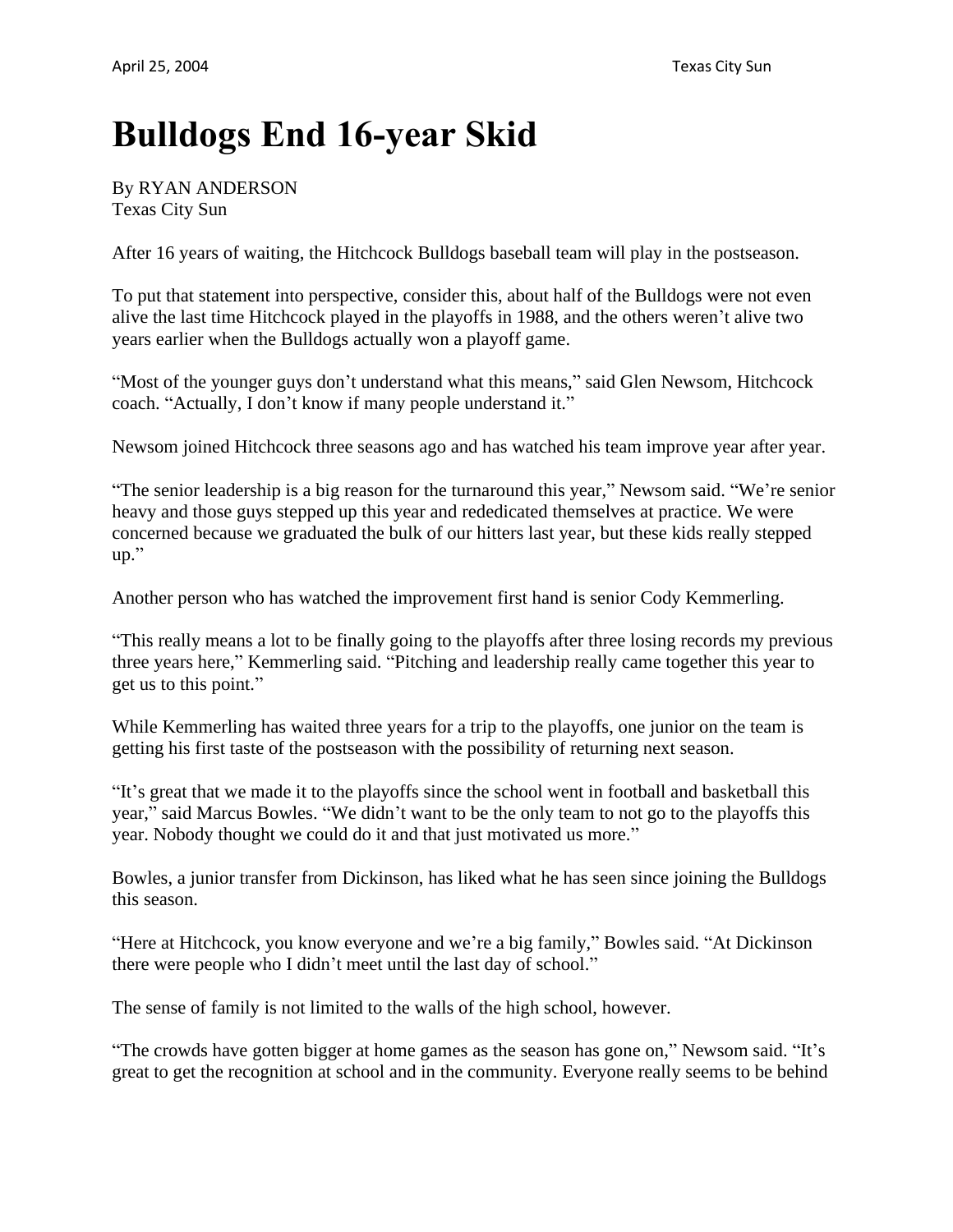## **Bulldogs End 16-year Skid**

## By RYAN ANDERSON Texas City Sun

After 16 years of waiting, the Hitchcock Bulldogs baseball team will play in the postseason.

To put that statement into perspective, consider this, about half of the Bulldogs were not even alive the last time Hitchcock played in the playoffs in 1988, and the others weren't alive two years earlier when the Bulldogs actually won a playoff game.

"Most of the younger guys don't understand what this means," said Glen Newsom, Hitchcock coach. "Actually, I don't know if many people understand it."

Newsom joined Hitchcock three seasons ago and has watched his team improve year after year.

"The senior leadership is a big reason for the turnaround this year," Newsom said. "We're senior heavy and those guys stepped up this year and rededicated themselves at practice. We were concerned because we graduated the bulk of our hitters last year, but these kids really stepped up."

Another person who has watched the improvement first hand is senior Cody Kemmerling.

"This really means a lot to be finally going to the playoffs after three losing records my previous three years here," Kemmerling said. "Pitching and leadership really came together this year to get us to this point."

While Kemmerling has waited three years for a trip to the playoffs, one junior on the team is getting his first taste of the postseason with the possibility of returning next season.

"It's great that we made it to the playoffs since the school went in football and basketball this year," said Marcus Bowles. "We didn't want to be the only team to not go to the playoffs this year. Nobody thought we could do it and that just motivated us more."

Bowles, a junior transfer from Dickinson, has liked what he has seen since joining the Bulldogs this season.

"Here at Hitchcock, you know everyone and we're a big family," Bowles said. "At Dickinson there were people who I didn't meet until the last day of school."

The sense of family is not limited to the walls of the high school, however.

"The crowds have gotten bigger at home games as the season has gone on," Newsom said. "It's great to get the recognition at school and in the community. Everyone really seems to be behind